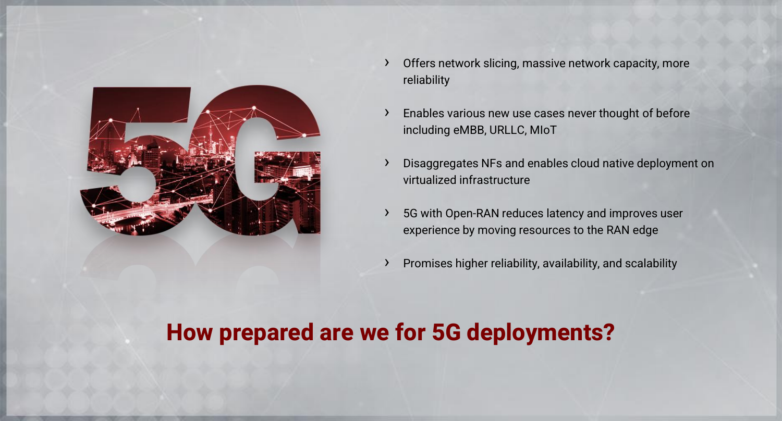

- › Offers network slicing, massive network capacity, more reliability
- › Enables various new use cases never thought of before including eMBB, URLLC, MIoT
- › Disaggregates NFs and enables cloud native deployment on virtualized infrastructure
- 5G with Open-RAN reduces latency and improves user experience by moving resources to the RAN edge
- › Promises higher reliability, availability, and scalability

## **How prepared are we for 5G deployments?**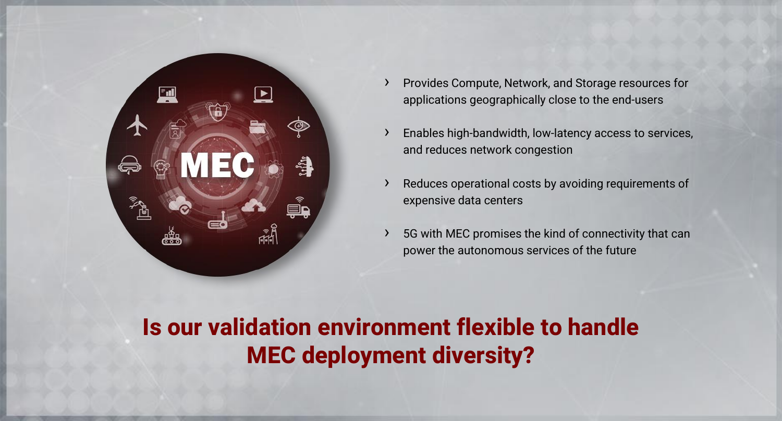

- › Provides Compute, Network, and Storage resources for applications geographically close to the end-users
- › Enables high-bandwidth, low-latency access to services, and reduces network congestion
- › Reduces operational costs by avoiding requirements of expensive data centers
- › 5G with MEC promises the kind of connectivity that can power the autonomous services of the future

# **Is our validation environment flexible to handle MEC deployment diversity?**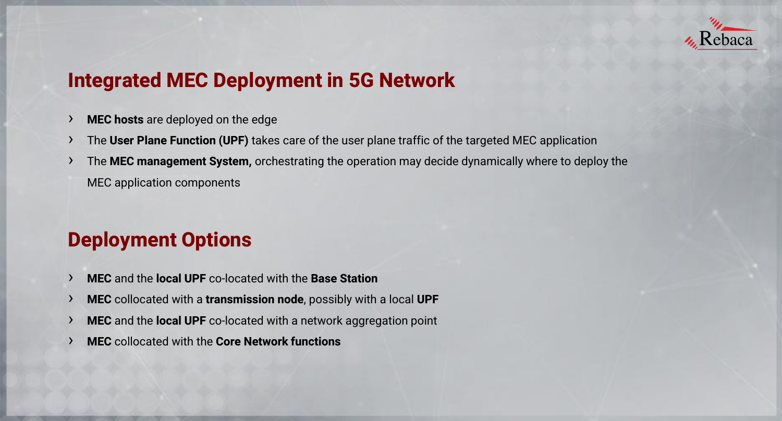

### **Integrated MEC Deployment in 5G Network**

- › **MEC hosts** are deployed on the edge
- › The **User Plane Function (UPF)** takes care of the user plane traffic of the targeted MEC application
- › The **MEC management System,** orchestrating the operation may decide dynamically where to deploy the MEC application components

### **Deployment Options**

- › **MEC** and the **local UPF** co-located with the **Base Station**
- › **MEC** collocated with a **transmission node**, possibly with a local **UPF**
- › **MEC** and the **local UPF** co-located with a network aggregation point
- **MEC** collocated with the **Core Network functions**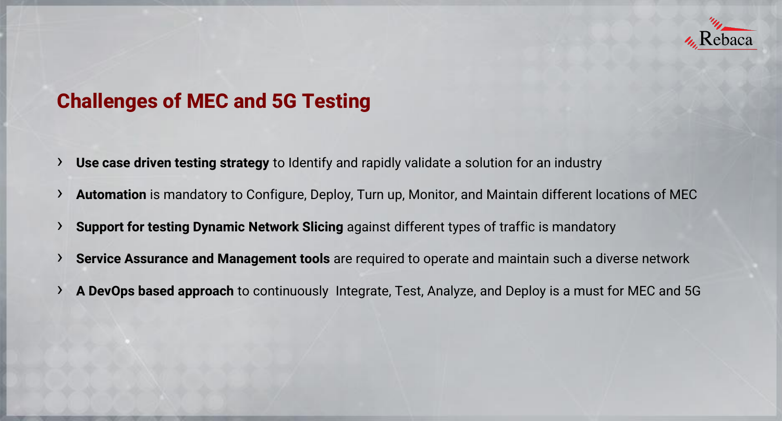

### **Challenges of MEC and 5G Testing**

- › **Use case driven testing strategy** to Identify and rapidly validate a solution for an industry
- › **Automation** is mandatory to Configure, Deploy, Turn up, Monitor, and Maintain different locations of MEC
- › **Support for testing Dynamic Network Slicing** against different types of traffic is mandatory
- **Service Assurance and Management tools** are required to operate and maintain such a diverse network
- › **A DevOps based approach** to continuously Integrate, Test, Analyze, and Deploy is a must for MEC and 5G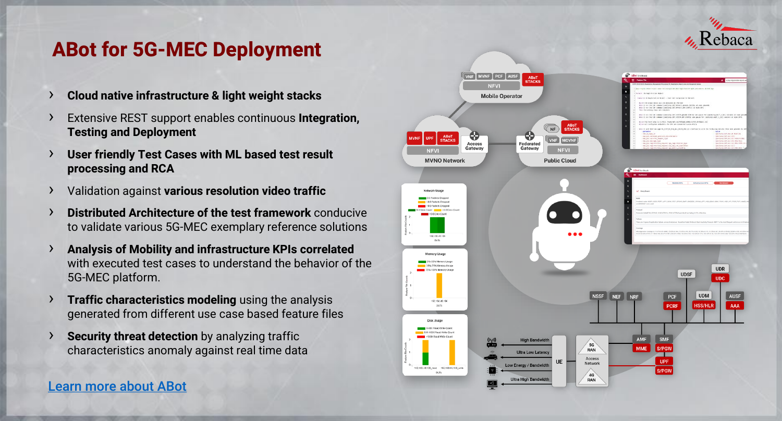

### **ABot for 5G-MEC Deployment**

- › **Cloud native infrastructure & light weight stacks**
- Extensive REST support enables continuous **Integration**, **Testing and Deployment**
- **User friendly Test Cases with ML based test result processing and RCA**
- › Validation against **various resolution video traffic**
- › **Distributed Architecture of the test framework** conducive to validate various 5G-MEC exemplary reference solutions
- › **Analysis of Mobility and infrastructure KPIs correlated**  with executed test cases to understand the behavior of the 5G-MEC platform.
- › **Traffic characteristics modeling** using the analysis generated from different use case based feature files
- **Security threat detection** by analyzing traffic characteristics anomaly against real time data

[Learn more about ABot](https://www.rebaca.com/telecom/solutions)